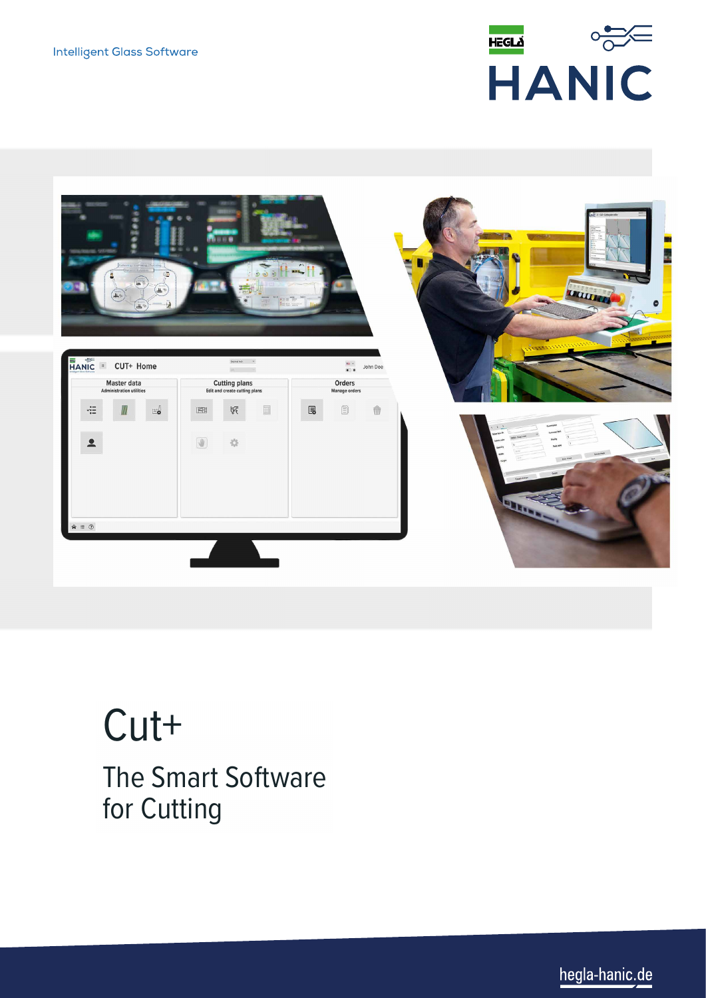



# Cut+ The Smart Software for Cutting

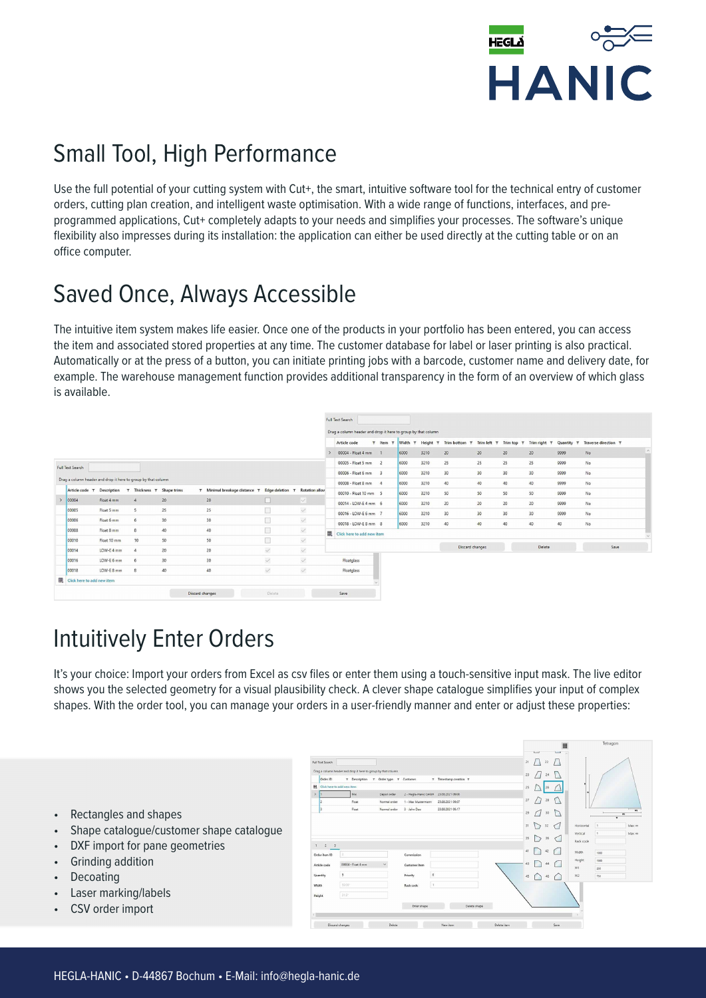

## Small Tool, High Performance

Use the full potential of your cutting system with Cut+, the smart, intuitive software tool for the technical entry of customer orders, cutting plan creation, and intelligent waste optimisation. With a wide range of functions, interfaces, and preprogrammed applications, Cut+ completely adapts to your needs and simplifies your processes. The software's unique flexibility also impresses during its installation: the application can either be used directly at the cutting table or on an office computer.

#### Saved Once, Always Accessible

The intuitive item system makes life easier. Once one of the products in your portfolio has been entered, you can access the item and associated stored properties at any time. The customer database for label or laser printing is also practical. Automatically or at the press of a button, you can initiate printing jobs with a barcode, customer name and delivery date, for example. The warehouse management function provides additional transparency in the form of an overview of which glass is available.

|                                       |  |             |  |                                                               |    |  |                                               |              |                                                               |   | <b>Full Text Search</b>    |                        |         |                                   |                 |                                  |                 |                         |            |                      |
|---------------------------------------|--|-------------|--|---------------------------------------------------------------|----|--|-----------------------------------------------|--------------|---------------------------------------------------------------|---|----------------------------|------------------------|---------|-----------------------------------|-----------------|----------------------------------|-----------------|-------------------------|------------|----------------------|
|                                       |  |             |  |                                                               |    |  |                                               |              | Drag a column header and drop it here to group by that column |   |                            |                        |         |                                   |                 |                                  |                 |                         |            |                      |
|                                       |  |             |  |                                                               |    |  |                                               |              |                                                               |   | Article code               | T Item<br>$\mathbf{r}$ | Width T | Height<br>$\overline{\mathbf{v}}$ | Trim bottom T   | <b>Trim left</b><br>$\mathbf{r}$ |                 | Trim top T Trim right T | Quantity T | Traverse direction T |
|                                       |  |             |  |                                                               |    |  |                                               |              |                                                               |   | 00004 - Float 4 mm         |                        | 6000    | 3210                              | 20              | 20                               | 20              | 20                      | 9999       | No                   |
| Full Text Search                      |  |             |  |                                                               |    |  |                                               |              |                                                               |   | 00005 - Float 5 mm 2       |                        | 6000    | 3210                              | 25              | 25                               | 25              | 25                      | 9999       | No                   |
|                                       |  |             |  |                                                               |    |  |                                               |              |                                                               |   | 00006 - Float 6 mm 3       |                        | 6000    | 3210                              | 30 <sub>o</sub> | 30 <sup>°</sup>                  | 30 <sub>2</sub> | 30                      | 9999       | No.                  |
|                                       |  |             |  | Drag a column header and drop it here to group by that column |    |  |                                               |              |                                                               |   | 00008 - Float 8 mm 4       |                        | 6000    | 3210                              | 40              | 40                               | $40$            | 40                      | 9999       | No                   |
| Article code T                        |  | Description |  | T Thickness T Shape trims                                     |    |  | T Minimal breakage distance T Edge deletion T |              | <b>Rotation alloy</b>                                         |   | 00010 - Float 10 mm 5      |                        | 6000    | 3210                              | 50              | 50                               | 50              | 50                      | 9999       | No                   |
| 00004                                 |  | Float 4 mm  |  | $\Delta$                                                      | 20 |  | 20                                            | г            | M.                                                            |   | 00014 - LOW-E 4 mm 6       |                        | 6000    | 3210                              | 20              | 20                               | 20              | 20                      | 9999       | No                   |
| 00005                                 |  | Float 5 mm  |  | 5                                                             | 25 |  | 25                                            |              | $\checkmark$                                                  |   | 00016 - LOW-E 6 mm 7       |                        | 6000    | 3210                              | 30              | 30 <sub>o</sub>                  | 30 <sup>°</sup> | 30                      | 9999       | No                   |
| 00006                                 |  | Float 6 mm  |  | 6                                                             | 30 |  | 30                                            | 厅            | $\checkmark$                                                  |   | 00018 - LOW-E 8 mm 8       |                        | 6000    | 3210                              | 40              | 40                               | $40$            | 40                      | 40         | No                   |
| 00008                                 |  | Float 8 mm  |  | 8                                                             | 40 |  | 40                                            |              | $\checkmark$                                                  | 囲 | Click here to add new item |                        |         |                                   |                 |                                  |                 |                         |            |                      |
| 00010                                 |  | Float 10 mm |  | 10                                                            | 50 |  | 50                                            | F            | $\checkmark$                                                  |   |                            |                        |         |                                   |                 |                                  |                 |                         |            |                      |
| 00014                                 |  | LOW-E 4 mm  |  | $\frac{1}{2}$                                                 | 20 |  | 20                                            | $\checkmark$ | $\checkmark$                                                  |   |                            |                        |         |                                   | Discard changes |                                  |                 | Delete                  |            | Save                 |
| 00016                                 |  | LOW-E 6 mm  |  | 6                                                             | 30 |  | 30                                            | $\checkmark$ | L.                                                            |   | Floatglass                 |                        |         |                                   |                 |                                  |                 |                         |            |                      |
| 00018                                 |  | LOW-E 8 mm  |  | 8                                                             | 40 |  | 40                                            | $\checkmark$ | $\checkmark$                                                  |   | Floatglass                 |                        |         |                                   |                 |                                  |                 |                         |            |                      |
| <b>EEL</b> Click here to add new item |  |             |  |                                                               |    |  |                                               |              |                                                               |   |                            |                        |         |                                   |                 |                                  |                 |                         |            |                      |
|                                       |  |             |  |                                                               |    |  | Discard changes                               | Delete       |                                                               |   | Save                       |                        |         |                                   |                 |                                  |                 |                         |            |                      |

#### Intuitively Enter Orders

It's your choice: Import your orders from Excel as csv files or enter them using a touch-sensitive input mask. The live editor shows you the selected geometry for a visual plausibility check. A clever shape catalogue simplifies your input of complex shapes. With the order tool, you can manage your orders in a user-friendly manner and enter or adjust these properties:

- Rectangles and shapes
- Shape catalogue/customer shape catalogue
- DXF import for pane geometries
- Grinding addition
- **Decoating**
- Laser marking/labels
- CSV order import

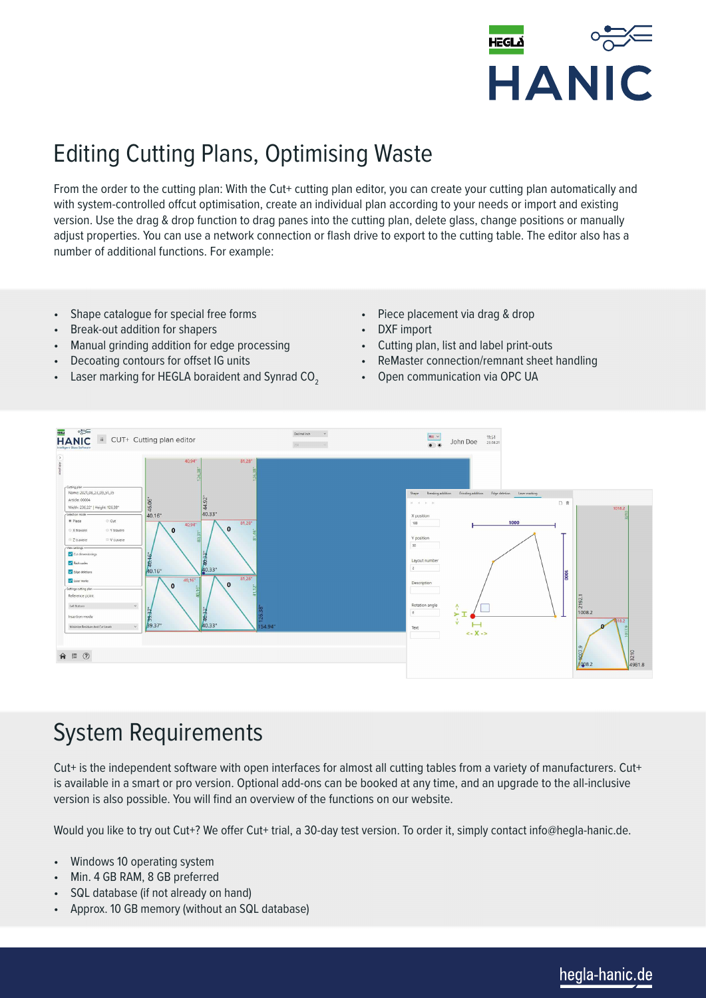

## Editing Cutting Plans, Optimising Waste

From the order to the cutting plan: With the Cut+ cutting plan editor, you can create your cutting plan automatically and with system-controlled offcut optimisation, create an individual plan according to your needs or import and existing version. Use the drag & drop function to drag panes into the cutting plan, delete glass, change positions or manually adjust properties. You can use a network connection or flash drive to export to the cutting table. The editor also has a number of additional functions. For example:

- Shape catalogue for special free forms
- Break-out addition for shapers
- Manual grinding addition for edge processing
- Decoating contours for offset IG units
- Laser marking for HEGLA boraident and Synrad CO<sub>2</sub>
- Piece placement via drag & drop
- DXF import
- Cutting plan, list and label print-outs
- ReMaster connection/remnant sheet handling
- Open communication via OPC UA



#### System Requirements

Cut+ is the independent software with open interfaces for almost all cutting tables from a variety of manufacturers. Cut+ is available in a smart or pro version. Optional add-ons can be booked at any time, and an upgrade to the all-inclusive version is also possible. You will find an overview of the functions on our website.

Would you like to try out Cut+? We offer Cut+ trial, a 30-day test version. To order it, simply contact info@hegla-hanic.de.

- Windows 10 operating system
- Min. 4 GB RAM, 8 GB preferred
- SQL database (if not already on hand)
- Approx. 10 GB memory (without an SQL database)